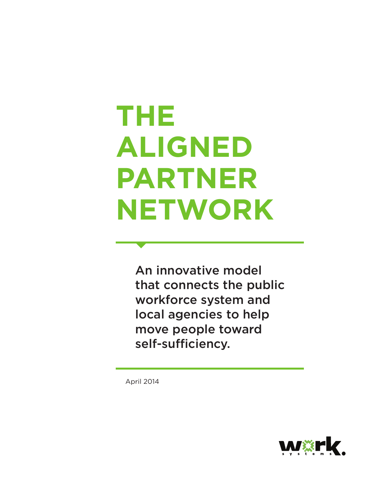# **THE ALIGNED PARTNER NETWORK**

An innovative model that connects the public workforce system and local agencies to help move people toward self-sufficiency.

April 2014

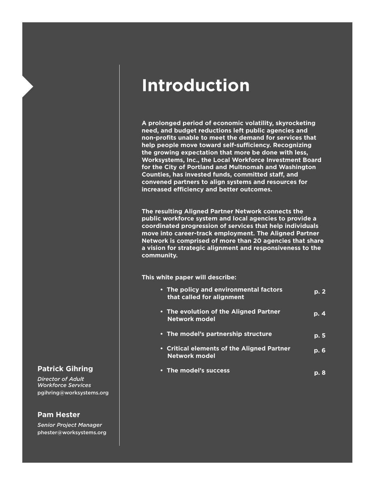# **Introduction**

**A prolonged period of economic volatility, skyrocketing need, and budget reductions left public agencies and non-profits unable to meet the demand for services that help people move toward self-sufficiency. Recognizing the growing expectation that more be done with less, Worksystems, Inc., the Local Workforce Investment Board for the City of Portland and Multnomah and Washington Counties, has invested funds, committed staff, and convened partners to align systems and resources for increased efficiency and better outcomes.** 

**The resulting Aligned Partner Network connects the public workforce system and local agencies to provide a coordinated progression of services that help individuals move into career-track employment. The Aligned Partner Network is comprised of more than 20 agencies that share a vision for strategic alignment and responsiveness to the community.** 

**This white paper will describe:** 

| • The policy and environmental factors<br>that called for alignment | p.2      |
|---------------------------------------------------------------------|----------|
| • The evolution of the Aligned Partner<br>Network model             | $p \, 4$ |
| • The model's partnership structure                                 | p. 5     |
| • Critical elements of the Aligned Partner<br><b>Network model</b>  | ip. 6    |
| • The model's success                                               |          |

# **Patrick Gihring**

*Director of Adult Workforce Services* pgihring@worksystems.org

# **Pam Hester**

*Senior Project Manager* phester@worksystems.org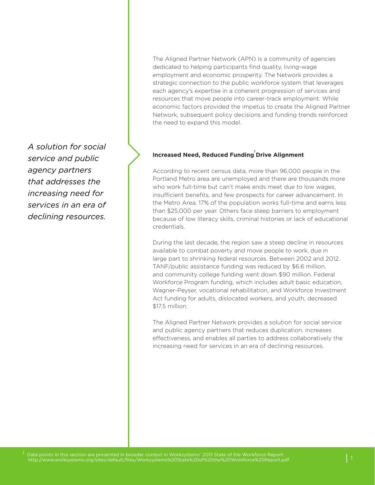<sup>1</sup> *A solution for social service and public agency partners that addresses the increasing need for services in an era of declining resources.*

The Aligned Partner Network (APN) is a community of agencies dedicated to helping participants find quality, living-wage employment and economic prosperity. The Network provides a strategic connection to the public workforce system that leverages each agency's expertise in a coherent progression of services and resources that move people into career-track employment. While economic factors provided the impetus to create the Aligned Partner Network, subsequent policy decisions and funding trends reinforced the need to expand this model.

# **Increased Need, Reduced Funding Drive Alignment**

According to recent census data, more than 96,000 people in the Portland Metro area are unemployed and there are thousands more who work full-time but can't make ends meet due to low wages, insufficient benefits, and few prospects for career advancement. In the Metro Area, 17% of the population works full-time and earns less than \$25,000 per year. Others face steep barriers to employment because of low literacy skills, criminal histories or lack of educational credentials.

During the last decade, the region saw a steep decline in resources available to combat poverty and move people to work, due in large part to shrinking federal resources. Between 2002 and 2012, TANF/public assistance funding was reduced by \$6.6 million, and community college funding went down \$90 million. Federal Workforce Program funding, which includes adult basic education, Wagner-Peyser, vocational rehabilitation, and Workforce Investment Act funding for adults, dislocated workers, and youth, decreased \$17.5 million.

The Aligned Partner Network provides a solution for social service and public agency partners that reduces duplication, increases effectiveness, and enables all parties to address collaboratively the increasing need for services in an era of declining resources.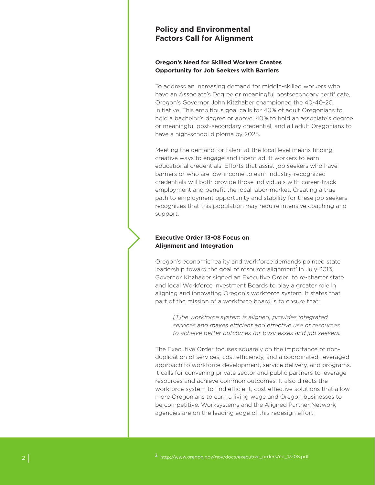# **Policy and Environmental Factors Call for Alignment**

# **Oregon's Need for Skilled Workers Creates Opportunity for Job Seekers with Barriers**

To address an increasing demand for middle-skilled workers who have an Associate's Degree or meaningful postsecondary certificate, Oregon's Governor John Kitzhaber championed the 40-40-20 Initiative. This ambitious goal calls for 40% of adult Oregonians to hold a bachelor's degree or above, 40% to hold an associate's degree or meaningful post-secondary credential, and all adult Oregonians to have a high-school diploma by 2025.

Meeting the demand for talent at the local level means finding creative ways to engage and incent adult workers to earn educational credentials. Efforts that assist job seekers who have barriers or who are low-income to earn industry-recognized credentials will both provide those individuals with career-track employment and benefit the local labor market. Creating a true path to employment opportunity and stability for these job seekers recognizes that this population may require intensive coaching and support.

# **Executive Order 13-08 Focus on Alignment and Integration**

Oregon's economic reality and workforce demands pointed state leadership toward the goal of resource alignment<sup>2</sup>. In July 2013, Governor Kitzhaber signed an Executive Order to re-charter state and local Workforce Investment Boards to play a greater role in aligning and innovating Oregon's workforce system. It states that part of the mission of a workforce board is to ensure that:

*[T]he workforce system is aligned, provides integrated services and makes efficient and effective use of resources to achieve better outcomes for businesses and job seekers.* 

The Executive Order focuses squarely on the importance of nonduplication of services, cost efficiency, and a coordinated, leveraged approach to workforce development, service delivery, and programs. It calls for convening private sector and public partners to leverage resources and achieve common outcomes. It also directs the workforce system to find efficient, cost effective solutions that allow more Oregonians to earn a living wage and Oregon businesses to be competitive. Worksystems and the Aligned Partner Network agencies are on the leading edge of this redesign effort.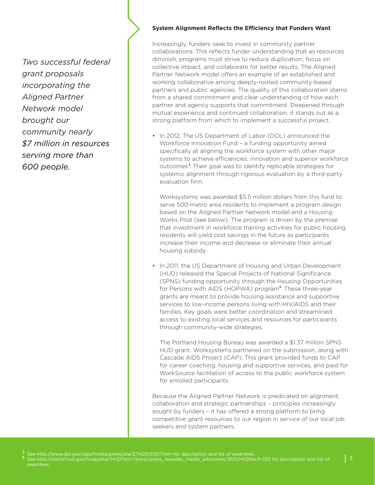*Two successful federal grant proposals incorporating the Aligned Partner Network model brought our community nearly \$7 million in resources serving more than 600 people.* 

#### **System Alignment Reflects the Efficiency that Funders Want**

Increasingly, funders seek to invest in community partner collaborations. This reflects funder understanding that as resources diminish, programs must strive to reduce duplication, focus on collective impact, and collaborate for better results. The Aligned Partner Network model offers an example of an established and working collaborative among deeply-rooted community-based partners and public agencies. The quality of this collaboration stems from a shared commitment and clear understanding of how each partner and agency supports that commitment. Deepened through mutual experience and continued collaboration, it stands out as a strong platform from which to implement a successful project.

• In 2012, The US Department of Labor (DOL) announced the Workforce Innovation Fund – a funding opportunity aimed specifically at aligning the workforce system with other major systems to achieve efficiencies, innovation and superior workforce outcomes<sup>3</sup>. Their goal was to identify replicable strategies for systemic alignment through rigorous evaluation by a third-party evaluation firm.

Worksystems was awarded \$5.5 million dollars from this fund to serve 500 metro area residents to implement a program design based on the Aligned Partner Network model and a Housing Works Pilot (see below). The program is driven by the premise that investment in workforce training activities for public housing residents will yield cost savings in the future as participants increase their income and decrease or eliminate their annual housing subsidy.

• In 2011, the US Department of Housing and Urban Development (HUD) released the Special Projects of National Significance (SPNS) funding opportunity through the Housing Opportunities for Persons with AIDS (HOPWA) program<sup>4</sup>. These three-year grants are meant to provide housing assistance and supportive services to low-income persons living with HIV/AIDS and their families. Key goals were better coordination and streamlined access to existing local services and resources for participants through community-wide strategies.

The Portland Housing Bureau was awarded a \$1.37 million SPNS HUD grant. Worksystems partnered on the submission, along with Cascade AIDS Project (CAP). This grant provided funds to CAP for career coaching, housing and supportive services, and paid for WorkSource facilitation of access to the public workforce system for enrolled participants.

Because the Aligned Partner Network is predicated on alignment, collaboration and strategic partnerships – principles increasingly sought by funders – it has offered a strong platform to bring competitive grant resources to our region in service of our local job seekers and system partners.

<sup>3</sup> See http://www.dol.gov/opa/media/press/eta/ETA20121237.htm for description and list of awardees.<br><sup>4</sup> See http://portal.hud.gov/hudportal/HUD?src=/press/press\_releases\_media\_advisories/2011/HUDNo.11-225 for description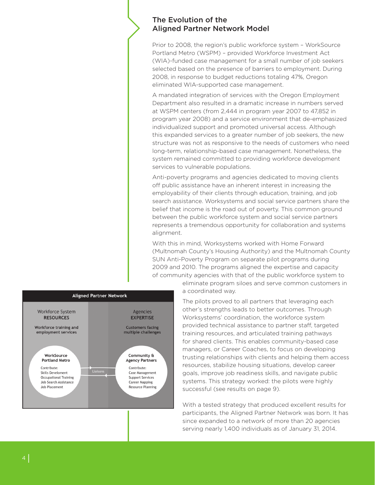# The Evolution of the Aligned Partner Network Model

Prior to 2008, the region's public workforce system – WorkSource Portland Metro (WSPM) – provided Workforce Investment Act (WIA)-funded case management for a small number of job seekers selected based on the presence of barriers to employment. During 2008, in response to budget reductions totaling 47%, Oregon eliminated WIA-supported case management.

A mandated integration of services with the Oregon Employment Department also resulted in a dramatic increase in numbers served at WSPM centers (from 2,444 in program year 2007 to 47,852 in program year 2008) and a service environment that de-emphasized individualized support and promoted universal access. Although this expanded services to a greater number of job seekers, the new structure was not as responsive to the needs of customers who need long-term, relationship-based case management. Nonetheless, the system remained committed to providing workforce development services to vulnerable populations.

Anti-poverty programs and agencies dedicated to moving clients off public assistance have an inherent interest in increasing the employability of their clients through education, training, and job search assistance. Worksystems and social service partners share the belief that income is the road out of poverty. This common ground between the public workforce system and social service partners represents a tremendous opportunity for collaboration and systems alignment.

With this in mind, Worksystems worked with Home Forward (Multnomah County's Housing Authority) and the Multnomah County SUN Anti-Poverty Program on separate pilot programs during 2009 and 2010. The programs aligned the expertise and capacity of community agencies with that of the public workforce system to



eliminate program siloes and serve common customers in a coordinated way.

The pilots proved to all partners that leveraging each other's strengths leads to better outcomes. Through Worksystems' coordination, the workforce system provided technical assistance to partner staff, targeted training resources, and articulated training pathways for shared clients. This enables community-based case managers, or Career Coaches, to focus on developing trusting relationships with clients and helping them access resources, stabilize housing situations, develop career goals, improve job readiness skills, and navigate public systems. This strategy worked: the pilots were highly successful (see results on page 9).

With a tested strategy that produced excellent results for participants, the Aligned Partner Network was born. It has since expanded to a network of more than 20 agencies serving nearly 1,400 individuals as of January 31, 2014.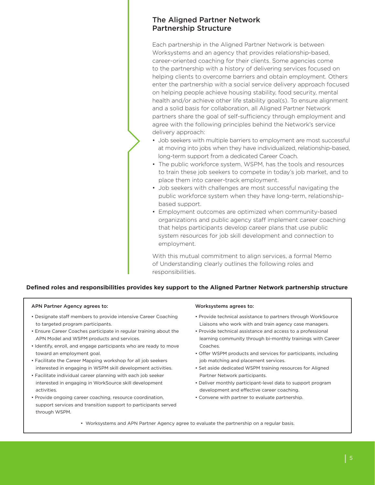# The Aligned Partner Network Partnership Structure

Each partnership in the Aligned Partner Network is between Worksystems and an agency that provides relationship-based, career-oriented coaching for their clients. Some agencies come to the partnership with a history of delivering services focused on helping clients to overcome barriers and obtain employment. Others enter the partnership with a social service delivery approach focused on helping people achieve housing stability, food security, mental health and/or achieve other life stability goal(s). To ensure alignment and a solid basis for collaboration, all Aligned Partner Network partners share the goal of self-sufficiency through employment and agree with the following principles behind the Network's service delivery approach:

- Job seekers with multiple barriers to employment are most successful at moving into jobs when they have individualized, relationship-based, long-term support from a dedicated Career Coach.
- The public workforce system, WSPM, has the tools and resources to train these job seekers to compete in today's job market, and to place them into career-track employment.
- Job seekers with challenges are most successful navigating the public workforce system when they have long-term, relationshipbased support.
- Employment outcomes are optimized when community-based organizations and public agency staff implement career coaching that helps participants develop career plans that use public system resources for job skill development and connection to employment.

With this mutual commitment to align services, a formal Memo of Understanding clearly outlines the following roles and responsibilities.

# **Defined roles and responsibilities provides key support to the Aligned Partner Network partnership structure**

#### APN Partner Agency agrees to:

- Designate staff members to provide intensive Career Coaching to targeted program participants.
- Ensure Career Coaches participate in regular training about the APN Model and WSPM products and services.
- Identify, enroll, and engage participants who are ready to move toward an employment goal.
- Facilitate the Career Mapping workshop for all job seekers interested in engaging in WSPM skill development activities.
- Facilitate individual career planning with each job seeker interested in engaging in WorkSource skill development activities.
- Provide ongoing career coaching, resource coordination, support services and transition support to participants served through WSPM.

#### Worksystems agrees to:

- Provide technical assistance to partners through WorkSource Liaisons who work with and train agency case managers.
- Provide technical assistance and access to a professional learning community through bi-monthly trainings with Career Coaches.
- Offer WSPM products and services for participants, including job matching and placement services.
- Set aside dedicated WSPM training resources for Aligned Partner Network participants.
- Deliver monthly participant-level data to support program development and effective career coaching.
- Convene with partner to evaluate partnership.
- Worksystems and APN Partner Agency agree to evaluate the partnership on a regular basis.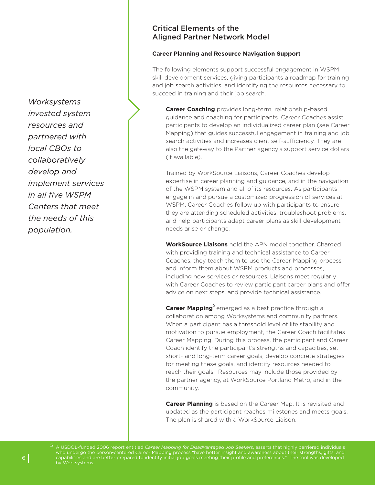*Worksystems invested system resources and partnered with local CBOs to collaboratively develop and implement services in all five WSPM Centers that meet the needs of this population.*

# Critical Elements of the Aligned Partner Network Model

#### **Career Planning and Resource Navigation Support**

The following elements support successful engagement in WSPM skill development services, giving participants a roadmap for training and job search activities, and identifying the resources necessary to succeed in training and their job search.

**Career Coaching** provides long-term, relationship-based guidance and coaching for participants. Career Coaches assist participants to develop an individualized career plan (see Career Mapping) that guides successful engagement in training and job search activities and increases client self-sufficiency. They are also the gateway to the Partner agency's support service dollars (if available).

Trained by WorkSource Liaisons, Career Coaches develop expertise in career planning and guidance, and in the navigation of the WSPM system and all of its resources. As participants engage in and pursue a customized progression of services at WSPM, Career Coaches follow up with participants to ensure they are attending scheduled activities, troubleshoot problems, and help participants adapt career plans as skill development needs arise or change.

**WorkSource Liaisons** hold the APN model together. Charged with providing training and technical assistance to Career Coaches, they teach them to use the Career Mapping process and inform them about WSPM products and processes, including new services or resources. Liaisons meet regularly with Career Coaches to review participant career plans and offer advice on next steps, and provide technical assistance.

**Career Mapping** emerged as a best practice through a 5 collaboration among Worksystems and community partners. When a participant has a threshold level of life stability and motivation to pursue employment, the Career Coach facilitates Career Mapping. During this process, the participant and Career Coach identify the participant's strengths and capacities, set short- and long-term career goals, develop concrete strategies for meeting these goals, and identify resources needed to reach their goals. Resources may include those provided by the partner agency, at WorkSource Portland Metro, and in the community.

**Career Planning** is based on the Career Map. It is revisited and updated as the participant reaches milestones and meets goals. The plan is shared with a WorkSource Liaison.

5 A USDOL-funded 2006 report entitled *Career Mapping for Disadvantaged Job Seekers*, asserts that highly barriered individuals who undergo the person-centered Career Mapping process "have better insight and awareness about their strengths, gifts, and capabilities and are better prepared to identify initial job goals meeting their profile and preferences." The tool was developed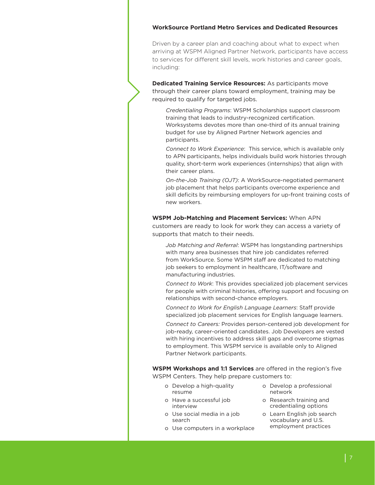#### **WorkSource Portland Metro Services and Dedicated Resources**

Driven by a career plan and coaching about what to expect when arriving at WSPM Aligned Partner Network, participants have access to services for different skill levels, work histories and career goals, including:

**Dedicated Training Service Resources:** As participants move through their career plans toward employment, training may be required to qualify for targeted jobs.

*Credentialing Programs*: WSPM Scholarships support classroom training that leads to industry-recognized certification. Worksystems devotes more than one-third of its annual training budget for use by Aligned Partner Network agencies and participants.

*Connect to Work Experience*: This service, which is available only to APN participants, helps individuals build work histories through quality, short-term work experiences (internships) that align with their career plans.

*On-the-Job Training (OJT)*: A WorkSource-negotiated permanent job placement that helps participants overcome experience and skill deficits by reimbursing employers for up-front training costs of new workers.

**WSPM Job-Matching and Placement Services:** When APN customers are ready to look for work they can access a variety of supports that match to their needs.

*Job Matching and Referral*: WSPM has longstanding partnerships with many area businesses that hire job candidates referred from WorkSource. Some WSPM staff are dedicated to matching job seekers to employment in healthcare, IT/software and manufacturing industries.

*Connect to Work*: This provides specialized job placement services for people with criminal histories, offering support and focusing on relationships with second-chance employers.

*Connect to Work for English Language Learners*: Staff provide specialized job placement services for English language learners.

*Connect to Careers:* Provides person-centered job development for job-ready, career-oriented candidates. Job Developers are vested with hiring incentives to address skill gaps and overcome stigmas to employment. This WSPM service is available only to Aligned Partner Network participants.

**WSPM Workshops and 1:1 Services** are offered in the region's five WSPM Centers. They help prepare customers to:

- o Develop a high-quality resume
- o Have a successful job interview
- o Use social media in a job search
- o Use computers in a workplace
- o Develop a professional network
- o Research training and credentialing options
- o Learn English job search vocabulary and U.S. employment practices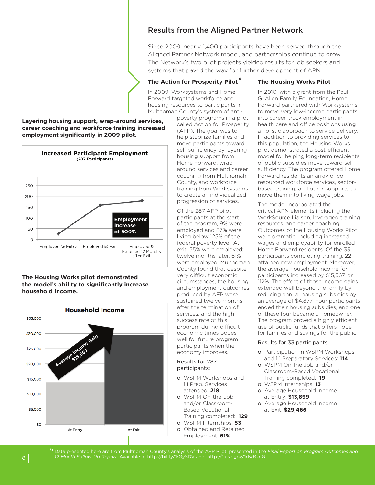# Results from the Aligned Partner Network

Since 2009, nearly 1,400 participants have been served through the Aligned Partner Network model, and partnerships continue to grow. The Network's two pilot projects yielded results for job seekers and systems that paved the way for further development of APN.

# 6 **The Action for Prosperity Pilot**

In 2009, Worksystems and Home Forward targeted workforce and housing resources to participants in Multnomah County's system of anti-

poverty programs in a pilot called Action for Prosperity (AFP). The goal was to help stabilize families and move participants toward self-sufficiency by layering housing support from Home Forward, wraparound services and career coaching from Multnomah County, and workforce training from Worksystems to create an individualized progression of services.

Of the 287 AFP pilot participants at the start of the program, 9% were employed and 87% were living below 125% of the federal poverty level. At exit, 55% were employed; twelve months later, 61% were employed. Multnomah County found that despite very difficult economic circumstances, the housing and employment outcomes produced by AFP were sustained twelve months after the termination of services; and the high success rate of this program during difficult economic times bodes well for future program participants when the economy improves.

#### Results for 287 participants:

- o WSPM Workshops and 1:1 Prep. Services attended: **218**
- o WSPM On-the-Job and/or Classroom- Based Vocational Training completed: **129**
- o WSPM Internships: **53**
- o Obtained and Retained Employment: **61%**

# **The Housing Works Pilot**

In 2010, with a grant from the Paul G. Allen Family Foundation, Home Forward partnered with Worksystems to move very low-income participants into career-track employment in health care and office positions using a holistic approach to service delivery. In addition to providing services to this population, the Housing Works pilot demonstrated a cost-efficient model for helping long-term recipients of public subsidies move toward selfsufficiency. The program offered Home Forward residents an array of coresourced workforce services, sectorbased training, and other supports to move them into living wage jobs.

The model incorporated the critical APN elements including the WorkSource Liaison, leveraged training resources, and career coaching. Outcomes of the Housing Works Pilot were dramatic, including increased wages and employability for enrolled Home Forward residents. Of the 33 participants completing training, 22 attained new employment. Moreover, the average household income for participants increased by \$15,567, or 112%. The effect of those income gains extended well beyond the family by reducing annual housing subsidies by an average of \$4,877. Four participants ended their housing subsidies, and one of these four became a homeowner. The program proved a highly efficient use of public funds that offers hope for families and savings for the public.

#### Results for 33 participants:

- o Participation in WSPM Workshops and 1:1 Preparatory Services: **114**
- o WSPM On-the Job and/or Classroom-Based Vocational Training completed: **19**
- o WSPM Internships: **13**
- o Average Household Income at Entry: **\$13,899**
- o Average Household Income at Exit: **\$29,466**





# **The Housing Works pilot demonstrated the model's ability to significantly increase household income.**



*12-Month Follow-Up Report*. Available at http://bit.ly/1rGySDV and http://1.usa.gov/1dwBznG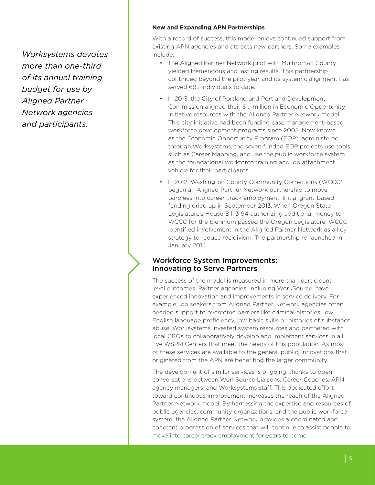*Worksystems devotes more than one-third of its annual training budget for use by Aligned Partner Network agencies and participants.*

# **New and Expanding APN Partnerships**

With a record of success, this model enjoys continued support from existing APN agencies and attracts new partners. Some examples include:

- The Aligned Partner Network pilot with Multnomah County yielded tremendous and lasting results. This partnership continued beyond the pilot year and its systemic alignment has served 692 individuals to date.
- In 2013, the City of Portland and Portland Development Commission aligned their \$1.1 million in Economic Opportunity Initiative resources with the Aligned Partner Network model. This city initiative had been funding case management-based workforce development programs since 2003. Now known as the Economic Opportunity Program (EOP), administered through Worksystems, the seven funded EOP projects use tools such as Career Mapping, and use the public workforce system as the foundational workforce training and job attachment vehicle for their participants.
- In 2012, Washington County Community Corrections (WCCC) began an Aligned Partner Network partnership to move parolees into career-track employment. Initial grant-based funding dried up in September 2013. When Oregon State Legislature's House Bill 3194 authorizing additional money to WCCC for the biennium passed the Oregon Legislature, WCCC identified involvement in the Aligned Partner Network as a key strategy to reduce recidivism. The partnership re-launched in January 2014.

# Workforce System Improvements: Innovating to Serve Partners

The success of the model is measured in more than participantlevel outcomes. Partner agencies, including WorkSource, have experienced innovation and improvements in service delivery. For example, job seekers from Aligned Partner Network agencies often needed support to overcome barriers like criminal histories, low English language proficiency, low basic skills or histories of substance abuse. Worksystems invested system resources and partnered with local CBOs to collaboratively develop and implement services in all five WSPM Centers that meet the needs of this population. As most of these services are available to the general public, innovations that originated from the APN are benefiting the larger community.

The development of similar services is ongoing, thanks to open conversations between WorkSource Liaisons, Career Coaches, APN agency managers, and Worksystems staff. This dedicated effort toward continuous improvement increases the reach of the Aligned Partner Network model. By harnessing the expertise and resources of public agencies, community organizations, and the public workforce system, the Aligned Partner Network provides a coordinated and coherent progression of services that will continue to assist people to move into career track employment for years to come.